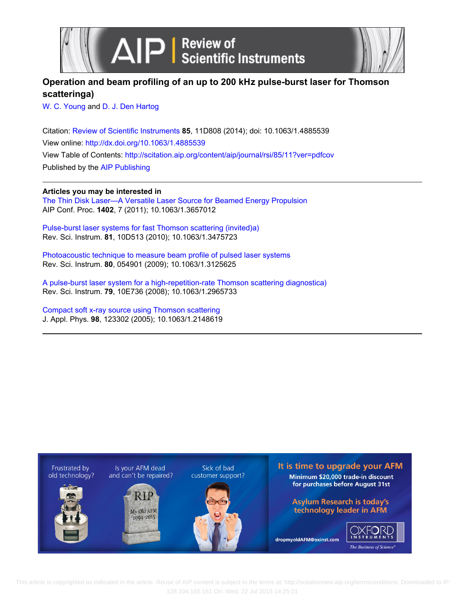

# **Operation and beam profiling of an up to 200 kHz pulse-burst laser for Thomson scatteringa)**

[W. C. Young](http://scitation.aip.org/search?value1=W.+C.+Young&option1=author) and [D. J. Den Hartog](http://scitation.aip.org/search?value1=D.+J.+Den+Hartog&option1=author)

Citation: [Review of Scientific Instruments](http://scitation.aip.org/content/aip/journal/rsi?ver=pdfcov) **85**, 11D808 (2014); doi: 10.1063/1.4885539 View online: <http://dx.doi.org/10.1063/1.4885539> View Table of Contents: <http://scitation.aip.org/content/aip/journal/rsi/85/11?ver=pdfcov> Published by the [AIP Publishing](http://scitation.aip.org/content/aip?ver=pdfcov)

**Articles you may be interested in**

[The Thin Disk Laser—A Versatile Laser Source for Beamed Energy Propulsion](http://scitation.aip.org/content/aip/proceeding/aipcp/10.1063/1.3657012?ver=pdfcov) AIP Conf. Proc. **1402**, 7 (2011); 10.1063/1.3657012

[Pulse-burst laser systems for fast Thomson scattering \(invited\)a\)](http://scitation.aip.org/content/aip/journal/rsi/81/10/10.1063/1.3475723?ver=pdfcov) Rev. Sci. Instrum. **81**, 10D513 (2010); 10.1063/1.3475723

[Photoacoustic technique to measure beam profile of pulsed laser systems](http://scitation.aip.org/content/aip/journal/rsi/80/5/10.1063/1.3125625?ver=pdfcov) Rev. Sci. Instrum. **80**, 054901 (2009); 10.1063/1.3125625

[A pulse-burst laser system for a high-repetition-rate Thomson scattering diagnostica\)](http://scitation.aip.org/content/aip/journal/rsi/79/10/10.1063/1.2965733?ver=pdfcov) Rev. Sci. Instrum. **79**, 10E736 (2008); 10.1063/1.2965733

[Compact soft x-ray source using Thomson scattering](http://scitation.aip.org/content/aip/journal/jap/98/12/10.1063/1.2148619?ver=pdfcov) J. Appl. Phys. **98**, 123302 (2005); 10.1063/1.2148619



 This article is copyrighted as indicated in the article. Reuse of AIP content is subject to the terms at: http://scitationnew.aip.org/termsconditions. Downloaded to IP: 128.104.165.161 On: Wed, 22 Jul 2015 14:25:21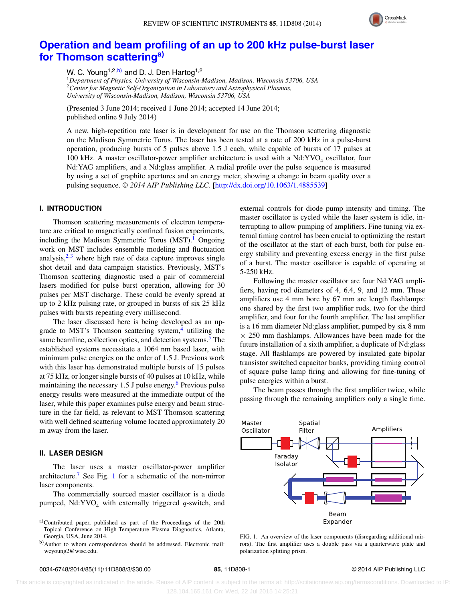

# **[Operation and beam profiling of an up to 200 kHz pulse-burst laser](http://dx.doi.org/10.1063/1.4885539) [for Thomson scattering](http://dx.doi.org/10.1063/1.4885539)[a\)](#page-1-0)**

W. C. Young<sup>1,2,b</sup>) and D. J. Den Hartog<sup>1,2</sup>

<sup>1</sup>*Department of Physics, University of Wisconsin-Madison, Madison, Wisconsin 53706, USA* <sup>2</sup>*Center for Magnetic Self-Organization in Laboratory and Astrophysical Plasmas, University of Wisconsin-Madison, Madison, Wisconsin 53706, USA*

(Presented 3 June 2014; received 1 June 2014; accepted 14 June 2014; published online 9 July 2014)

A new, high-repetition rate laser is in development for use on the Thomson scattering diagnostic on the Madison Symmetric Torus. The laser has been tested at a rate of 200 kHz in a pulse-burst operation, producing bursts of 5 pulses above 1.5 J each, while capable of bursts of 17 pulses at 100 kHz. A master oscillator-power amplifier architecture is used with a  $Nd:YVO<sub>4</sub>$  oscillator, four Nd:YAG amplifiers, and a Nd:glass amplifier. A radial profile over the pulse sequence is measured by using a set of graphite apertures and an energy meter, showing a change in beam quality over a pulsing sequence. *© 2014 AIP Publishing LLC*. [\[http://dx.doi.org/10.1063/1.4885539\]](http://dx.doi.org/10.1063/1.4885539)

## **I. INTRODUCTION**

Thomson scattering measurements of electron temperature are critical to magnetically confined fusion experiments, including the Madison Symmetric Torus  $(MST)^1$  Ongoing work on MST includes ensemble modeling and fluctuation analysis, $2,3$  $2,3$  where high rate of data capture improves single shot detail and data campaign statistics. Previously, MST's Thomson scattering diagnostic used a pair of commercial lasers modified for pulse burst operation, allowing for 30 pulses per MST discharge. These could be evenly spread at up to 2 kHz pulsing rate, or grouped in bursts of six 25 kHz pulses with bursts repeating every millisecond.

The laser discussed here is being developed as an upgrade to MST's Thomson scattering system, $4$  utilizing the same beamline, collection optics, and detection systems.<sup>5</sup> The established systems necessitate a 1064 nm based laser, with minimum pulse energies on the order of 1.5 J. Previous work with this laser has demonstrated multiple bursts of 15 pulses at 75 kHz, or longer single bursts of 40 pulses at 10 kHz, while maintaining the necessary  $1.5$  J pulse energy.<sup>[6](#page-3-5)</sup> Previous pulse energy results were measured at the immediate output of the laser, while this paper examines pulse energy and beam structure in the far field, as relevant to MST Thomson scattering with well defined scattering volume located approximately 20 m away from the laser.

### **II. LASER DESIGN**

The laser uses a master oscillator-power amplifier architecture.[7](#page-3-6) See Fig. [1](#page-1-2) for a schematic of the non-mirror laser components.

The commercially sourced master oscillator is a diode pumped,  $Nd:YVO<sub>4</sub>$  with externally triggered  $q$ -switch, and external controls for diode pump intensity and timing. The master oscillator is cycled while the laser system is idle, interrupting to allow pumping of amplifiers. Fine tuning via external timing control has been crucial to optimizing the restart of the oscillator at the start of each burst, both for pulse energy stability and preventing excess energy in the first pulse of a burst. The master oscillator is capable of operating at 5-250 kHz.

Following the master oscillator are four Nd:YAG amplifiers, having rod diameters of 4, 6.4, 9, and 12 mm. These amplifiers use 4 mm bore by 67 mm arc length flashlamps: one shared by the first two amplifier rods, two for the third amplifier, and four for the fourth amplifier. The last amplifier is a 16 mm diameter Nd:glass amplifier, pumped by six 8 mm  $\times$  250 mm flashlamps. Allowances have been made for the future installation of a sixth amplifier, a duplicate of Nd:glass stage. All flashlamps are powered by insulated gate bipolar transistor switched capacitor banks, providing timing control of square pulse lamp firing and allowing for fine-tuning of pulse energies within a burst.

The beam passes through the first amplifier twice, while passing through the remaining amplifiers only a single time.

<span id="page-1-2"></span>

FIG. 1. An overview of the laser components (disregarding additional mirrors). The first amplifier uses a double pass via a quarterwave plate and polarization splitting prism.

<span id="page-1-0"></span>a)Contributed paper, published as part of the Proceedings of the 20th Topical Conference on High-Temperature Plasma Diagnostics, Atlanta, Georgia, USA, June 2014.

<span id="page-1-1"></span>b)Author to whom correspondence should be addressed. Electronic mail: [wcyoung2@wisc.edu.](mailto: wcyoung2@wisc.edu)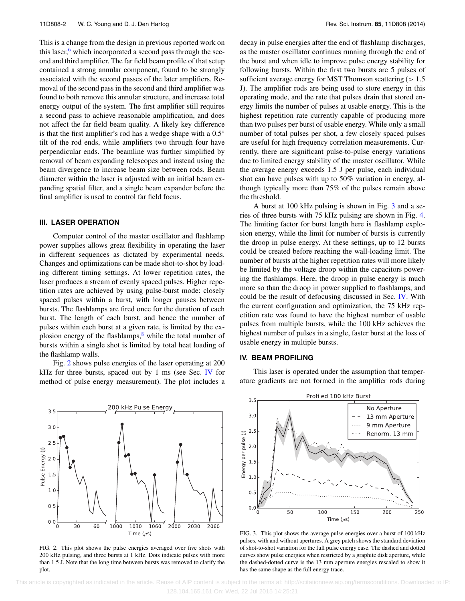This is a change from the design in previous reported work on this laser, $\frac{6}{5}$  which incorporated a second pass through the second and third amplifier. The far field beam profile of that setup contained a strong annular component, found to be strongly associated with the second passes of the later amplifiers. Removal of the second pass in the second and third amplifier was found to both remove this annular structure, and increase total energy output of the system. The first amplifier still requires a second pass to achieve reasonable amplification, and does not affect the far field beam quality. A likely key difference is that the first amplifier's rod has a wedge shape with a 0.5◦ tilt of the rod ends, while amplifiers two through four have perpendicular ends. The beamline was further simplified by removal of beam expanding telescopes and instead using the beam divergence to increase beam size between rods. Beam diameter within the laser is adjusted with an initial beam expanding spatial filter, and a single beam expander before the final amplifier is used to control far field focus.

## **III. LASER OPERATION**

Computer control of the master oscillator and flashlamp power supplies allows great flexibility in operating the laser in different sequences as dictated by experimental needs. Changes and optimizations can be made shot-to-shot by loading different timing settings. At lower repetition rates, the laser produces a stream of evenly spaced pulses. Higher repetition rates are achieved by using pulse-burst mode: closely spaced pulses within a burst, with longer pauses between bursts. The flashlamps are fired once for the duration of each burst. The length of each burst, and hence the number of pulses within each burst at a given rate, is limited by the explosion energy of the flashlamps, $\delta$  while the total number of bursts within a single shot is limited by total heat loading of the flashlamp walls.

Fig. [2](#page-2-0) shows pulse energies of the laser operating at 200 kHz for three bursts, spaced out by 1 ms (see Sec. [IV](#page-2-1) for method of pulse energy measurement). The plot includes a

<span id="page-2-0"></span>

FIG. 2. This plot shows the pulse energies averaged over five shots with 200 kHz pulsing, and three bursts at 1 kHz. Dots indicate pulses with more than 1.5 J. Note that the long time between bursts was removed to clarify the plot.

decay in pulse energies after the end of flashlamp discharges, as the master oscillator continues running through the end of the burst and when idle to improve pulse energy stability for following bursts. Within the first two bursts are 5 pulses of sufficient average energy for MST Thomson scattering (*>* 1.5 J). The amplifier rods are being used to store energy in this operating mode, and the rate that pulses drain that stored energy limits the number of pulses at usable energy. This is the highest repetition rate currently capable of producing more than two pulses per burst of usable energy. While only a small number of total pulses per shot, a few closely spaced pulses are useful for high frequency correlation measurements. Currently, there are significant pulse-to-pulse energy variations due to limited energy stability of the master oscillator. While the average energy exceeds 1.5 J per pulse, each individual shot can have pulses with up to 50% variation in energy, although typically more than 75% of the pulses remain above the threshold.

A burst at 100 kHz pulsing is shown in Fig. [3](#page-2-2) and a series of three bursts with 75 kHz pulsing are shown in Fig. [4.](#page-3-8) The limiting factor for burst length here is flashlamp explosion energy, while the limit for number of bursts is currently the droop in pulse energy. At these settings, up to 12 bursts could be created before reaching the wall-loading limit. The number of bursts at the higher repetition rates will more likely be limited by the voltage droop within the capacitors powering the flashlamps. Here, the droop in pulse energy is much more so than the droop in power supplied to flashlamps, and could be the result of defocusing discussed in Sec. [IV.](#page-2-1) With the current configuration and optimization, the 75 kHz repetition rate was found to have the highest number of usable pulses from multiple bursts, while the 100 kHz achieves the highest number of pulses in a single, faster burst at the loss of usable energy in multiple bursts.

#### <span id="page-2-1"></span>**IV. BEAM PROFILING**

This laser is operated under the assumption that temperature gradients are not formed in the amplifier rods during

<span id="page-2-2"></span>

FIG. 3. This plot shows the average pulse energies over a burst of 100 kHz pulses, with and without apertures. A grey patch shows the standard deviation of shot-to-shot variation for the full pulse energy case. The dashed and dotted curves show pulse energies when restricted by a graphite disk aperture, while the dashed-dotted curve is the 13 mm aperture energies rescaled to show it has the same shape as the full energy trace.

 This article is copyrighted as indicated in the article. Reuse of AIP content is subject to the terms at: http://scitationnew.aip.org/termsconditions. Downloaded to IP: 128.104.165.161 On: Wed, 22 Jul 2015 14:25:21